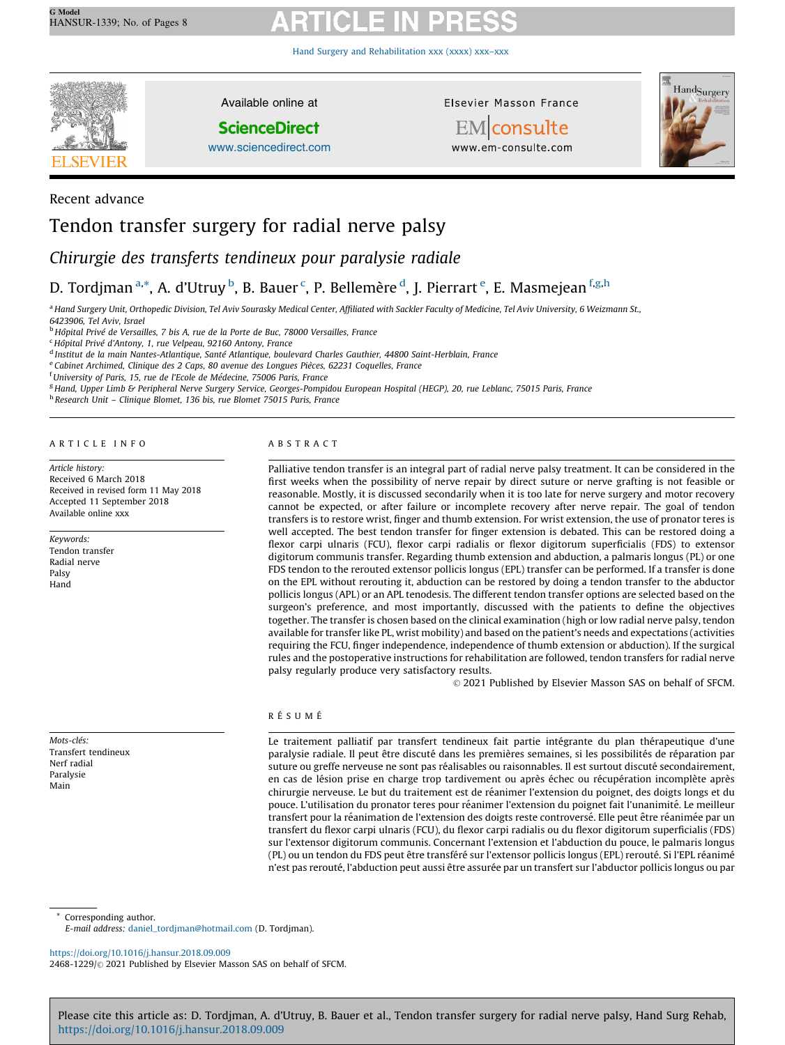Hand Surgery and [Rehabilitation](https://doi.org/10.1016/j.hansur.2018.09.009) xxx (xxxx) xxx–xxx



Recent advance

Available online at

**ScienceDirect** 

[www.sciencedirect.com](http://www.sciencedirect.com/science/journal/24681229)

Elsevier Masson France



**EM** consulte www.em-consulte.com

# Tendon transfer surgery for radial nerve palsy

Chirurgie des transferts tendineux pour paralysie radiale

# D. Tordjman <sup>a,</sup>\*, A. d'Utruy <sup>b</sup>, B. Bauer <sup>c</sup>, P. Bellemère <sup>d</sup>, J. Pierrart <sup>e</sup>, E. Masmejean <sup>f,g,h</sup>

a Hand Surgery Unit, Orthopedic Division, Tel Aviv Sourasky Medical Center, Affiliated with Sackler Faculty of Medicine, Tel Aviv University, 6 Weizmann St., 6423906, Tel Aviv, Israel

<sup>b</sup> Hôpital Privé de Versailles, 7 bis A, rue de la Porte de Buc, 78000 Versailles, France

<sup>c</sup> Hôpital Privé d'Antony, 1, rue Velpeau, 92160 Antony, France

<sup>d</sup> Institut de la main Nantes-Atlantique, Santé Atlantique, boulevard Charles Gauthier, 44800 Saint-Herblain, France

e Cabinet Archimed, Clinique des 2 Caps, 80 avenue des Longues Pièces, 62231 Coquelles, France

<sup>f</sup> University of Paris, 15, rue de l'Ecole de Médecine, 75006 Paris, France

<sup>g</sup> Hand, Upper Limb & Peripheral Nerve Surgery Service, Georges-Pompidou European Hospital (HEGP), 20, rue Leblanc, 75015 Paris, France

<sup>h</sup> Research Unit – Clinique Blomet, 136 bis, rue Blomet 75015 Paris, France

A R T I C L E I N F O

Article history: Received 6 March 2018 Received in revised form 11 May 2018 Accepted 11 September 2018 Available online xxx

Keywords: Tendon transfer Radial nerve Palsy Hand

Mots-clés<sup>-</sup> Transfert tendineux Nerf radial Paralysie Main

### A B S T R A C T

Palliative tendon transfer is an integral part of radial nerve palsy treatment. It can be considered in the first weeks when the possibility of nerve repair by direct suture or nerve grafting is not feasible or reasonable. Mostly, it is discussed secondarily when it is too late for nerve surgery and motor recovery cannot be expected, or after failure or incomplete recovery after nerve repair. The goal of tendon transfers is to restore wrist, finger and thumb extension. For wrist extension, the use of pronator teres is well accepted. The best tendon transfer for finger extension is debated. This can be restored doing a flexor carpi ulnaris (FCU), flexor carpi radialis or flexor digitorum superficialis (FDS) to extensor digitorum communis transfer. Regarding thumb extension and abduction, a palmaris longus (PL) or one FDS tendon to the rerouted extensor pollicis longus (EPL) transfer can be performed. If a transfer is done on the EPL without rerouting it, abduction can be restored by doing a tendon transfer to the abductor pollicis longus (APL) or an APL tenodesis. The different tendon transfer options are selected based on the surgeon's preference, and most importantly, discussed with the patients to define the objectives together. The transfer is chosen based on the clinical examination (high or low radial nerve palsy, tendon available for transfer like PL, wrist mobility) and based on the patient's needs and expectations (activities requiring the FCU, finger independence, independence of thumb extension or abduction). If the surgical rules and the postoperative instructions for rehabilitation are followed, tendon transfers for radial nerve palsy regularly produce very satisfactory results.

 $\odot$  2021 Published by Elsevier Masson SAS on behalf of SFCM.

### RÉSUMÉ

Le traitement palliatif par transfert tendineux fait partie intégrante du plan thérapeutique d'une paralysie radiale. Il peut être discuté dans les premières semaines, si les possibilités de réparation par suture ou greffe nerveuse ne sont pas réalisables ou raisonnables. Il est surtout discuté secondairement, en cas de lésion prise en charge trop tardivement ou après échec ou récupération incomplète après chirurgie nerveuse. Le but du traitement est de réanimer l'extension du poignet, des doigts longs et du pouce. L'utilisation du pronator teres pour réanimer l'extension du poignet fait l'unanimité. Le meilleur transfert pour la réanimation de l'extension des doigts reste controversé. Elle peut être réanimée par un transfert du flexor carpi ulnaris (FCU), du flexor carpi radialis ou du flexor digitorum superficialis (FDS) sur l'extensor digitorum communis. Concernant l'extension et l'abduction du pouce, le palmaris longus (PL) ou un tendon du FDS peut être transféré sur l'extensor pollicis longus (EPL) rerouté. Si l'EPL réanimé n'est pas rerouté, l'abduction peut aussi être assurée par un transfert sur l'abductor pollicis longus ou par

Corresponding author.

E-mail address: [daniel\\_tordjman@hotmail.com](daniel_tordjman@hotmail.com) (D. Tordjman).

<https://doi.org/10.1016/j.hansur.2018.09.009> 2468-1229/© 2021 Published by Elsevier Masson SAS on behalf of SFCM.

Please cite this article as: D. Tordjman, A. d'Utruy, B. Bauer et al., Tendon transfer surgery for radial nerve palsy, Hand Surg Rehab, <https://doi.org/10.1016/j.hansur.2018.09.009>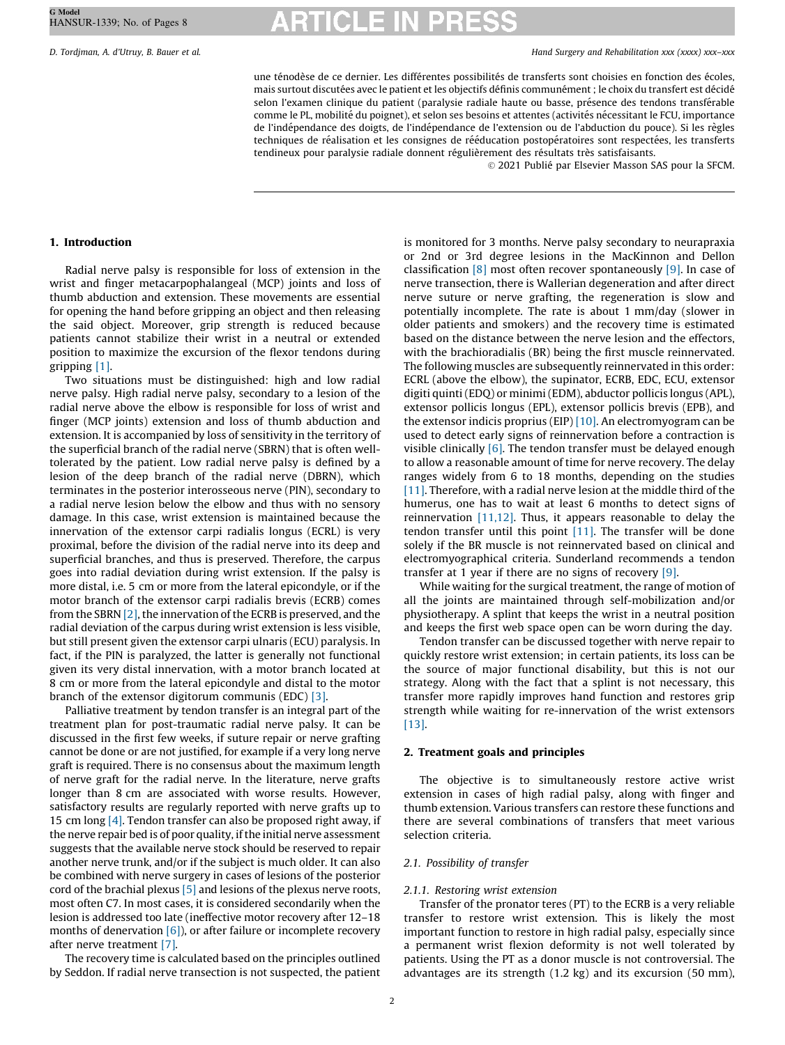D. Tordjman, A. d'Utruy, B. Bauer et al. Hand Surgery and Rehabilitation xxx (xxxx) xxx–xxx

une ténodèse de ce dernier. Les différentes possibilités de transferts sont choisies en fonction des écoles, mais surtout discutées avec le patient et les objectifs définis communément ; le choix du transfert est décidé selon l'examen clinique du patient (paralysie radiale haute ou basse, présence des tendons transférable comme le PL, mobilité du poignet), et selon ses besoins et attentes (activités nécessitant le FCU, importance de l'indépendance des doigts, de l'indépendance de l'extension ou de l'abduction du pouce). Si les règles techniques de réalisation et les consignes de rééducation postopératoires sont respectées, les transferts tendineux pour paralysie radiale donnent régulièrement des résultats très satisfaisants.

 $\odot$  2021 Publié par Elsevier Masson SAS pour la SFCM.

#### 1. Introduction

Radial nerve palsy is responsible for loss of extension in the wrist and finger metacarpophalangeal (MCP) joints and loss of thumb abduction and extension. These movements are essential for opening the hand before gripping an object and then releasing the said object. Moreover, grip strength is reduced because patients cannot stabilize their wrist in a neutral or extended position to maximize the excursion of the flexor tendons during gripping [\[1\]](#page-6-0).

Two situations must be distinguished: high and low radial nerve palsy. High radial nerve palsy, secondary to a lesion of the radial nerve above the elbow is responsible for loss of wrist and finger (MCP joints) extension and loss of thumb abduction and extension. It is accompanied by loss of sensitivity in the territory of the superficial branch of the radial nerve (SBRN) that is often welltolerated by the patient. Low radial nerve palsy is defined by a lesion of the deep branch of the radial nerve (DBRN), which terminates in the posterior interosseous nerve (PIN), secondary to a radial nerve lesion below the elbow and thus with no sensory damage. In this case, wrist extension is maintained because the innervation of the extensor carpi radialis longus (ECRL) is very proximal, before the division of the radial nerve into its deep and superficial branches, and thus is preserved. Therefore, the carpus goes into radial deviation during wrist extension. If the palsy is more distal, i.e. 5 cm or more from the lateral epicondyle, or if the motor branch of the extensor carpi radialis brevis (ECRB) comes from the SBRN  $[2]$ , the innervation of the ECRB is preserved, and the radial deviation of the carpus during wrist extension is less visible, but still present given the extensor carpi ulnaris (ECU) paralysis. In fact, if the PIN is paralyzed, the latter is generally not functional given its very distal innervation, with a motor branch located at 8 cm or more from the lateral epicondyle and distal to the motor branch of the extensor digitorum communis (EDC) [\[3\]](#page-6-0).

Palliative treatment by tendon transfer is an integral part of the treatment plan for post-traumatic radial nerve palsy. It can be discussed in the first few weeks, if suture repair or nerve grafting cannot be done or are not justified, for example if a very long nerve graft is required. There is no consensus about the maximum length of nerve graft for the radial nerve. In the literature, nerve grafts longer than 8 cm are associated with worse results. However, satisfactory results are regularly reported with nerve grafts up to 15 cm long [\[4\].](#page-6-0) Tendon transfer can also be proposed right away, if the nerve repair bed is of poor quality, if the initial nerve assessment suggests that the available nerve stock should be reserved to repair another nerve trunk, and/or if the subject is much older. It can also be combined with nerve surgery in cases of lesions of the posterior cord of the brachial plexus [\[5\]](#page-6-0) and lesions of the plexus nerve roots, most often C7. In most cases, it is considered secondarily when the lesion is addressed too late (ineffective motor recovery after 12–18 months of denervation  $[6]$ ), or after failure or incomplete recovery after nerve treatment [\[7\]](#page-6-0).

The recovery time is calculated based on the principles outlined by Seddon. If radial nerve transection is not suspected, the patient is monitored for 3 months. Nerve palsy secondary to neurapraxia or 2nd or 3rd degree lesions in the MacKinnon and Dellon classification  $\lceil 8 \rceil$  most often recover spontaneously  $\lceil 9 \rceil$ . In case of nerve transection, there is Wallerian degeneration and after direct nerve suture or nerve grafting, the regeneration is slow and potentially incomplete. The rate is about 1 mm/day (slower in older patients and smokers) and the recovery time is estimated based on the distance between the nerve lesion and the effectors, with the brachioradialis (BR) being the first muscle reinnervated. The following muscles are subsequently reinnervated in this order: ECRL (above the elbow), the supinator, ECRB, EDC, ECU, extensor digiti quinti(EDQ) or minimi(EDM), abductor pollicis longus (APL), extensor pollicis longus (EPL), extensor pollicis brevis (EPB), and the extensor indicis proprius (EIP) [\[10\]](#page-6-0). An electromyogram can be used to detect early signs of reinnervation before a contraction is visible clinically  $[6]$ . The tendon transfer must be delayed enough to allow a reasonable amount of time for nerve recovery. The delay ranges widely from 6 to 18 months, depending on the studies [\[11\]](#page-6-0). Therefore, with a radial nerve lesion at the middle third of the humerus, one has to wait at least 6 months to detect signs of reinnervation [\[11,12\].](#page-6-0) Thus, it appears reasonable to delay the tendon transfer until this point [\[11\]](#page-6-0). The transfer will be done solely if the BR muscle is not reinnervated based on clinical and electromyographical criteria. Sunderland recommends a tendon transfer at 1 year if there are no signs of recovery [\[9\]](#page-6-0).

While waiting for the surgical treatment, the range of motion of all the joints are maintained through self-mobilization and/or physiotherapy. A splint that keeps the wrist in a neutral position and keeps the first web space open can be worn during the day.

Tendon transfer can be discussed together with nerve repair to quickly restore wrist extension; in certain patients, its loss can be the source of major functional disability, but this is not our strategy. Along with the fact that a splint is not necessary, this transfer more rapidly improves hand function and restores grip strength while waiting for re-innervation of the wrist extensors [\[13\]](#page-6-0).

#### 2. Treatment goals and principles

The objective is to simultaneously restore active wrist extension in cases of high radial palsy, along with finger and thumb extension. Various transfers can restore these functions and there are several combinations of transfers that meet various selection criteria.

#### 2.1. Possibility of transfer

#### 2.1.1. Restoring wrist extension

Transfer of the pronator teres (PT) to the ECRB is a very reliable transfer to restore wrist extension. This is likely the most important function to restore in high radial palsy, especially since a permanent wrist flexion deformity is not well tolerated by patients. Using the PT as a donor muscle is not controversial. The advantages are its strength (1.2 kg) and its excursion (50 mm),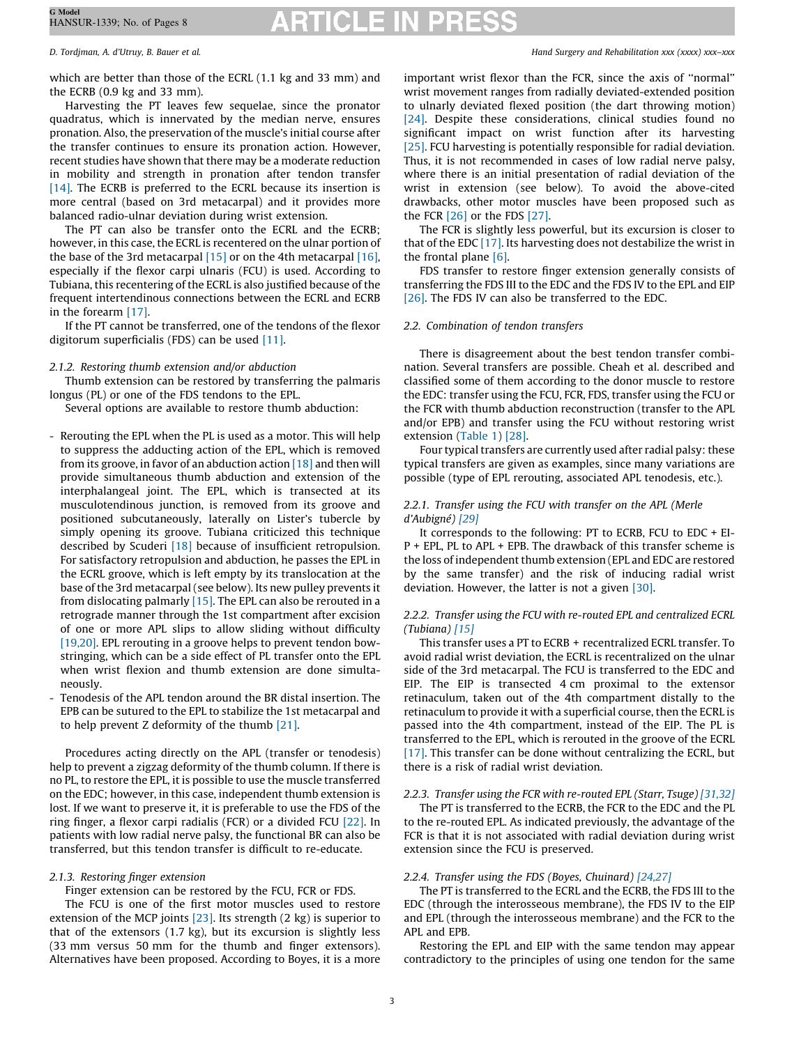which are better than those of the ECRL (1.1 kg and 33 mm) and the ECRB (0.9 kg and 33 mm).

### Harvesting the PT leaves few sequelae, since the pronator quadratus, which is innervated by the median nerve, ensures pronation. Also, the preservation of the muscle's initial course after the transfer continues to ensure its pronation action. However, recent studies have shown that there may be a moderate reduction in mobility and strength in pronation after tendon transfer [\[14\]](#page-6-0). The ECRB is preferred to the ECRL because its insertion is more central (based on 3rd metacarpal) and it provides more balanced radio-ulnar deviation during wrist extension.

The PT can also be transfer onto the ECRL and the ECRB; however, in this case, the ECRL is recentered on the ulnar portion of the base of the 3rd metacarpal [\[15\]](#page-6-0) or on the 4th metacarpal [\[16\],](#page-6-0) especially if the flexor carpi ulnaris (FCU) is used. According to Tubiana, this recentering of the ECRL is also justified because of the frequent intertendinous connections between the ECRL and ECRB in the forearm [\[17\].](#page-6-0)

If the PT cannot be transferred, one of the tendons of the flexor digitorum superficialis (FDS) can be used [\[11\].](#page-6-0)

# 2.1.2. Restoring thumb extension and/or abduction

Thumb extension can be restored by transferring the palmaris longus (PL) or one of the FDS tendons to the EPL.

Several options are available to restore thumb abduction:

- Rerouting the EPL when the PL is used as a motor. This will help to suppress the adducting action of the EPL, which is removed from its groove, in favor of an abduction action  $[18]$  and then will provide simultaneous thumb abduction and extension of the interphalangeal joint. The EPL, which is transected at its musculotendinous junction, is removed from its groove and positioned subcutaneously, laterally on Lister's tubercle by simply opening its groove. Tubiana criticized this technique described by Scuderi [\[18\]](#page-6-0) because of insufficient retropulsion. For satisfactory retropulsion and abduction, he passes the EPL in the ECRL groove, which is left empty by its translocation at the base of the 3rd metacarpal (see below). Its new pulley prevents it from dislocating palmarly [\[15\].](#page-6-0) The EPL can also be rerouted in a retrograde manner through the 1st compartment after excision of one or more APL slips to allow sliding without difficulty [\[19,20\].](#page-7-0) EPL rerouting in a groove helps to prevent tendon bowstringing, which can be a side effect of PL transfer onto the EPL when wrist flexion and thumb extension are done simultaneously.
- Tenodesis of the APL tendon around the BR distal insertion. The EPB can be sutured to the EPL to stabilize the 1st metacarpal and to help prevent Z deformity of the thumb [\[21\].](#page-7-0)

Procedures acting directly on the APL (transfer or tenodesis) help to prevent a zigzag deformity of the thumb column. If there is no PL, to restore the EPL, it is possible to use the muscle transferred on the EDC; however, in this case, independent thumb extension is lost. If we want to preserve it, it is preferable to use the FDS of the ring finger, a flexor carpi radialis (FCR) or a divided FCU [\[22\]](#page-7-0). In patients with low radial nerve palsy, the functional BR can also be transferred, but this tendon transfer is difficult to re-educate.

# 2.1.3. Restoring finger extension

# Finger extension can be restored by the FCU, FCR or FDS.

The FCU is one of the first motor muscles used to restore extension of the MCP joints  $[23]$ . Its strength  $(2 \text{ kg})$  is superior to that of the extensors (1.7 kg), but its excursion is slightly less (33 mm versus 50 mm for the thumb and finger extensors). Alternatives have been proposed. According to Boyes, it is a more

D. Tordjman, A. d'Utruy, B. Bauer et al. Hand Surgery and Rehabilitation xxx (xxxx) xxx–xxx

important wrist flexor than the FCR, since the axis of ''normal'' wrist movement ranges from radially deviated-extended position to ulnarly deviated flexed position (the dart throwing motion) [\[24\]](#page-7-0). Despite these considerations, clinical studies found no significant impact on wrist function after its harvesting [\[25\]](#page-7-0). FCU harvesting is potentially responsible for radial deviation. Thus, it is not recommended in cases of low radial nerve palsy, where there is an initial presentation of radial deviation of the wrist in extension (see below). To avoid the above-cited drawbacks, other motor muscles have been proposed such as the FCR [\[26\]](#page-7-0) or the FDS [\[27\]](#page-7-0).

The FCR is slightly less powerful, but its excursion is closer to that of the EDC [\[17\]](#page-6-0). Its harvesting does not destabilize the wrist in the frontal plane [\[6\].](#page-6-0)

FDS transfer to restore finger extension generally consists of transferring the FDS III to the EDC and the FDS IV to the EPL and EIP [\[26\]](#page-7-0). The FDS IV can also be transferred to the EDC.

# 2.2. Combination of tendon transfers

There is disagreement about the best tendon transfer combination. Several transfers are possible. Cheah et al. described and classified some of them according to the donor muscle to restore the EDC: transfer using the FCU, FCR, FDS, transfer using the FCU or the FCR with thumb abduction reconstruction (transfer to the APL and/or EPB) and transfer using the FCU without restoring wrist extension ([Table](#page-3-0) 1) [\[28\]](#page-7-0).

Four typical transfers are currently used after radial palsy: these typical transfers are given as examples, since many variations are possible (type of EPL rerouting, associated APL tenodesis, etc.).

### 2.2.1. Transfer using the FCU with transfer on the APL (Merle d'Aubigné) [\[29\]](#page-7-0)

It corresponds to the following: PT to ECRB, FCU to EDC + EI-P + EPL, PL to APL + EPB. The drawback of this transfer scheme is the loss of independent thumb extension (EPL and EDC are restored by the same transfer) and the risk of inducing radial wrist deviation. However, the latter is not a given [\[30\].](#page-7-0)

### 2.2.2. Transfer using the FCU with re-routed EPL and centralized ECRL (Tubiana) [\[15\]](#page-6-0)

This transfer uses a PT to ECRB + recentralized ECRL transfer. To avoid radial wrist deviation, the ECRL is recentralized on the ulnar side of the 3rd metacarpal. The FCU is transferred to the EDC and EIP. The EIP is transected 4 cm proximal to the extensor retinaculum, taken out of the 4th compartment distally to the retinaculum to provide it with a superficial course, then the ECRL is passed into the 4th compartment, instead of the EIP. The PL is transferred to the EPL, which is rerouted in the groove of the ECRL [\[17\]](#page-6-0). This transfer can be done without centralizing the ECRL, but there is a risk of radial wrist deviation.

# 2.2.3. Transfer using the FCR with re-routed EPL (Starr, Tsuge) [\[31,32\]](#page-7-0)

The PT is transferred to the ECRB, the FCR to the EDC and the PL to the re-routed EPL. As indicated previously, the advantage of the FCR is that it is not associated with radial deviation during wrist extension since the FCU is preserved.

# 2.2.4. Transfer using the FDS (Boyes, Chuinard) [\[24,27\]](#page-7-0)

The PT is transferred to the ECRL and the ECRB, the FDS III to the EDC (through the interosseous membrane), the FDS IV to the EIP and EPL (through the interosseous membrane) and the FCR to the APL and EPB.

Restoring the EPL and EIP with the same tendon may appear contradictory to the principles of using one tendon for the same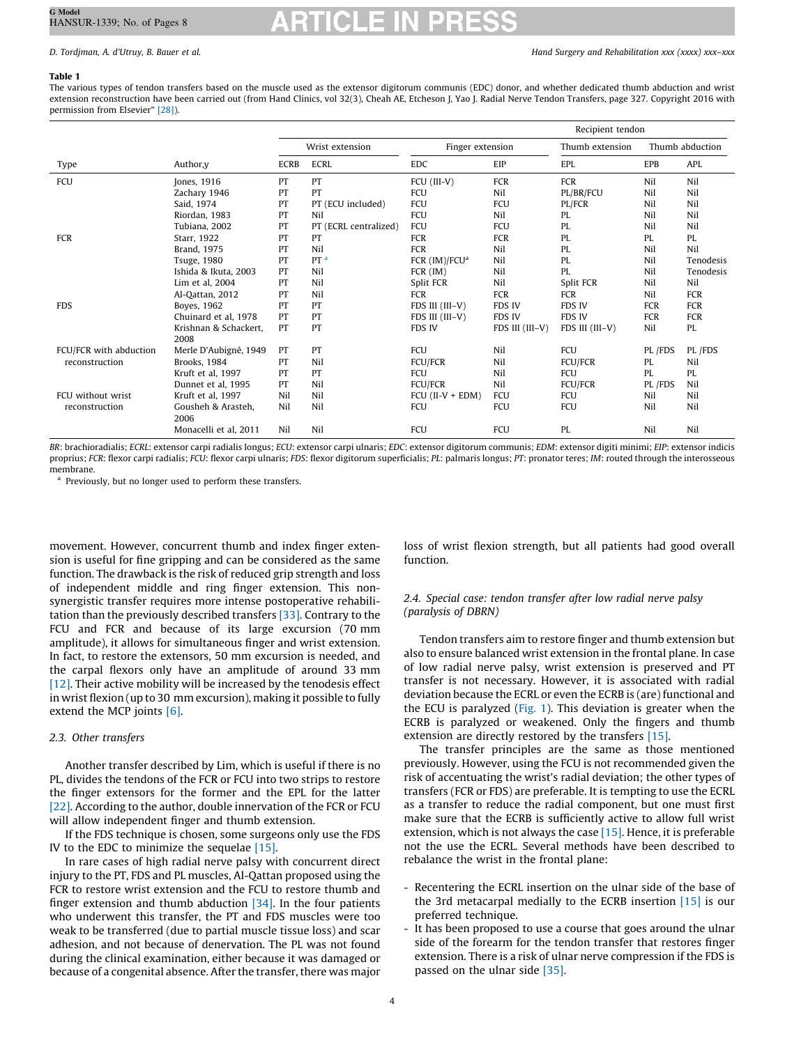### <span id="page-3-0"></span>Table 1

The various types of tendon transfers based on the muscle used as the extensor digitorum communis (EDC) donor, and whether dedicated thumb abduction and wrist extension reconstruction have been carried out (from Hand Clinics, vol 32(3), Cheah AE, Etcheson J, Yao J. Radial Nerve Tendon Transfers, page 327. Copyright 2016 with permission from Elsevier" [\[28\]](#page-7-0)).

|                        |                               |                 |                       |                           | Recipient tendon |                 |                 |            |  |
|------------------------|-------------------------------|-----------------|-----------------------|---------------------------|------------------|-----------------|-----------------|------------|--|
|                        |                               | Wrist extension |                       | Finger extension          |                  | Thumb extension | Thumb abduction |            |  |
| Type                   | Author, y                     | <b>ECRB</b>     | <b>ECRL</b>           | <b>EDC</b>                | EIP              | EPL             | <b>EPB</b>      | APL        |  |
| <b>FCU</b>             | Jones, 1916                   | PT              | PT                    | FCU (III-V)               | FCR              | FCR             | Nil             | Nil        |  |
|                        | Zachary 1946                  | PT              | PT                    | <b>FCU</b>                | Nil              | PL/BR/FCU       | Nil             | Nil        |  |
|                        | Said, 1974                    | PT              | PT (ECU included)     | FCU                       | <b>FCU</b>       | PL/FCR          | Nil             | Nil        |  |
|                        | Riordan, 1983                 | PT              | Nil                   | FCU                       | Nil              | PL              | Nil             | Nil        |  |
|                        | Tubiana, 2002                 | PT              | PT (ECRL centralized) | <b>FCU</b>                | FCU              | PL              | Nil             | Nil        |  |
| <b>FCR</b>             | Starr, 1922                   | PT              | PT                    | <b>FCR</b>                | <b>FCR</b>       | PL              | PL              | PL         |  |
|                        | <b>Brand. 1975</b>            | PT              | Nil                   | <b>FCR</b>                | Nil              | PL              | Nil             | Nil        |  |
|                        | <b>Tsuge, 1980</b>            | PT              | PT <sup>a</sup>       | FCR (IM)/FCU <sup>a</sup> | Nil              | PL              | Nil             | Tenodesis  |  |
|                        | Ishida & Ikuta, 2003          | PT              | Nil                   | FCR (IM)                  | Nil              | PL              | Nil             | Tenodesis  |  |
|                        | Lim et al. 2004               | PT              | Nil                   | Split FCR                 | Nil              | Split FCR       | Nil             | Nil        |  |
|                        | Al-Qattan, 2012               | PT              | Nil                   | <b>FCR</b>                | <b>FCR</b>       | <b>FCR</b>      | Nil             | FCR        |  |
| <b>FDS</b>             | Boyes, 1962                   | PT              | PT                    | FDS III (III-V)           | FDS IV           | <b>FDS IV</b>   | FCR             | <b>FCR</b> |  |
|                        | Chuinard et al. 1978          | PT              | PT                    | FDS III (III-V)           | <b>FDS IV</b>    | <b>FDS IV</b>   | <b>FCR</b>      | <b>FCR</b> |  |
|                        | Krishnan & Schackert,<br>2008 | PT              | PT                    | FDS IV                    | FDS III (III-V)  | FDS III (III-V) | Nil             | PL         |  |
| FCU/FCR with abduction | Merle D'Aubigné, 1949         | PT              | PT                    | <b>FCU</b>                | Nil              | FCU             | PL /FDS         | PL /FDS    |  |
| reconstruction         | Brooks, 1984                  | PT              | Nil                   | <b>FCU/FCR</b>            | Nil              | <b>FCU/FCR</b>  | PL              | Nil        |  |
|                        | Kruft et al, 1997             | PT              | PT                    | FCU                       | Nil              | FCU             | PL              | PL         |  |
|                        | Dunnet et al, 1995            | PT              | Nil                   | <b>FCU/FCR</b>            | Nil              | <b>FCU/FCR</b>  | PL /FDS         | Nil        |  |
| FCU without wrist      | Kruft et al, 1997             | Nil             | Nil                   | $FCU$ (II-V + $EDM$ )     | FCU              | FCU             | Nil             | Nil        |  |
| reconstruction         | Gousheh & Arasteh,<br>2006    | Nil             | Nil                   | FCU                       | FCU              | FCU             | Nil             | Nil        |  |
|                        | Monacelli et al. 2011         | Nil             | Nil                   | FCU                       | FCU              | PL              | Nil             | Nil        |  |

BR: brachioradialis; ECRL: extensor carpi radialis longus; ECU: extensor carpi ulnaris; EDC: extensor digitorum communis; EDM: extensor digiti minimi; EIP: extensor indicis proprius; FCR: flexor carpi radialis; FCU: flexor carpi ulnaris; FDS: flexor digitorum superficialis; PL: palmaris longus; PT: pronator teres; IM: routed through the interosseous membrane.

<sup>a</sup> Previously, but no longer used to perform these transfers.

movement. However, concurrent thumb and index finger extension is useful for fine gripping and can be considered as the same function. The drawback is the risk of reduced grip strength and loss of independent middle and ring finger extension. This nonsynergistic transfer requires more intense postoperative rehabilitation than the previously described transfers [\[33\].](#page-7-0) Contrary to the FCU and FCR and because of its large excursion (70 mm amplitude), it allows for simultaneous finger and wrist extension. In fact, to restore the extensors, 50 mm excursion is needed, and the carpal flexors only have an amplitude of around 33 mm [\[12\]](#page-6-0). Their active mobility will be increased by the tenodesis effect in wrist flexion (up to 30 mm excursion), making it possible to fully extend the MCP joints [\[6\]](#page-6-0).

#### 2.3. Other transfers

Another transfer described by Lim, which is useful if there is no PL, divides the tendons of the FCR or FCU into two strips to restore the finger extensors for the former and the EPL for the latter [\[22\]](#page-7-0). According to the author, double innervation of the FCR or FCU will allow independent finger and thumb extension.

If the FDS technique is chosen, some surgeons only use the FDS IV to the EDC to minimize the sequelae [\[15\]](#page-6-0).

In rare cases of high radial nerve palsy with concurrent direct injury to the PT, FDS and PL muscles, Al-Qattan proposed using the FCR to restore wrist extension and the FCU to restore thumb and finger extension and thumb abduction  $[34]$ . In the four patients who underwent this transfer, the PT and FDS muscles were too weak to be transferred (due to partial muscle tissue loss) and scar adhesion, and not because of denervation. The PL was not found during the clinical examination, either because it was damaged or because of a congenital absence. After the transfer, there was major

loss of wrist flexion strength, but all patients had good overall function.

### 2.4. Special case: tendon transfer after low radial nerve palsy (paralysis of DBRN)

Tendon transfers aim to restore finger and thumb extension but also to ensure balanced wrist extension in the frontal plane. In case of low radial nerve palsy, wrist extension is preserved and PT transfer is not necessary. However, it is associated with radial deviation because the ECRL or even the ECRB is (are) functional and the ECU is paralyzed ([Fig.](#page-4-0) 1). This deviation is greater when the ECRB is paralyzed or weakened. Only the fingers and thumb extension are directly restored by the transfers [\[15\]](#page-6-0).

The transfer principles are the same as those mentioned previously. However, using the FCU is not recommended given the risk of accentuating the wrist's radial deviation; the other types of transfers (FCR or FDS) are preferable. It is tempting to use the ECRL as a transfer to reduce the radial component, but one must first make sure that the ECRB is sufficiently active to allow full wrist extension, which is not always the case [\[15\].](#page-6-0) Hence, it is preferable not the use the ECRL. Several methods have been described to rebalance the wrist in the frontal plane:

- Recentering the ECRL insertion on the ulnar side of the base of the 3rd metacarpal medially to the ECRB insertion [\[15\]](#page-6-0) is our preferred technique.
- It has been proposed to use a course that goes around the ulnar side of the forearm for the tendon transfer that restores finger extension. There is a risk of ulnar nerve compression if the FDS is passed on the ulnar side [\[35\].](#page-7-0)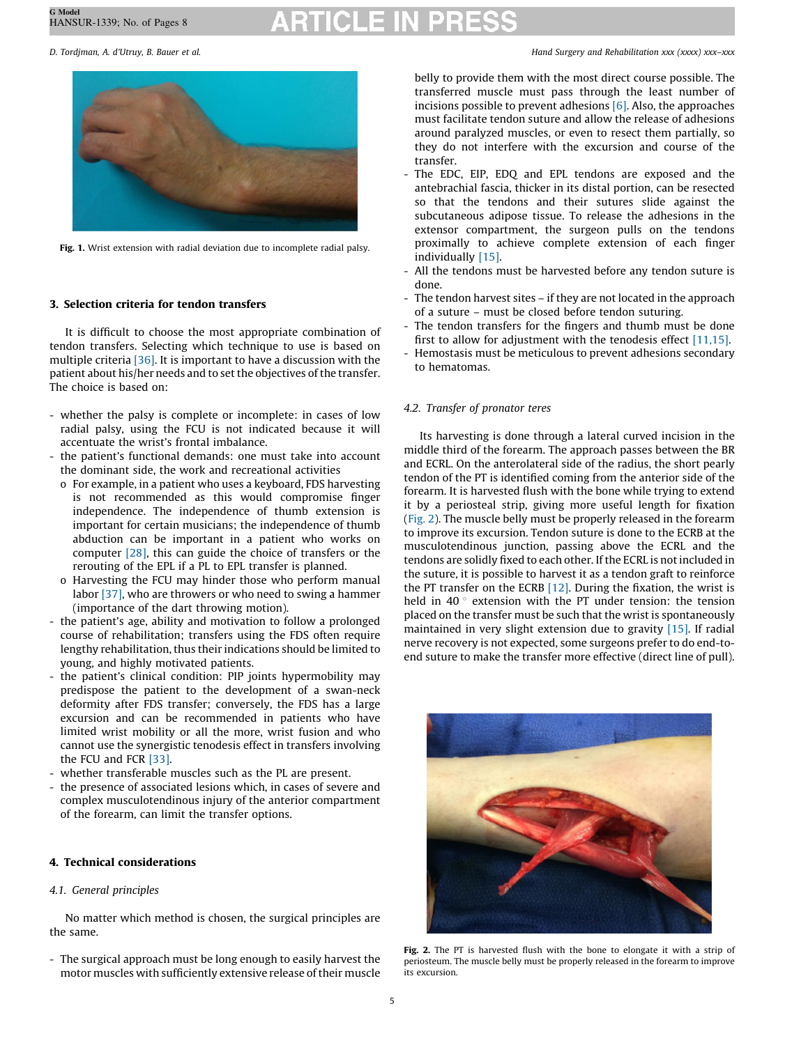

Fig. 1. Wrist extension with radial deviation due to incomplete radial palsy.

#### 3. Selection criteria for tendon transfers

It is difficult to choose the most appropriate combination of tendon transfers. Selecting which technique to use is based on multiple criteria [\[36\]](#page-7-0). It is important to have a discussion with the patient about his/her needs and to set the objectives of the transfer. The choice is based on:

- whether the palsy is complete or incomplete: in cases of low radial palsy, using the FCU is not indicated because it will accentuate the wrist's frontal imbalance.
- the patient's functional demands: one must take into account the dominant side, the work and recreational activities
	- o For example, in a patient who uses a keyboard, FDS harvesting is not recommended as this would compromise finger independence. The independence of thumb extension is important for certain musicians; the independence of thumb abduction can be important in a patient who works on computer [\[28\]](#page-7-0), this can guide the choice of transfers or the rerouting of the EPL if a PL to EPL transfer is planned.
	- o Harvesting the FCU may hinder those who perform manual labor [\[37\],](#page-7-0) who are throwers or who need to swing a hammer (importance of the dart throwing motion).
- the patient's age, ability and motivation to follow a prolonged course of rehabilitation; transfers using the FDS often require lengthy rehabilitation, thus their indications should be limited to young, and highly motivated patients.
- the patient's clinical condition: PIP joints hypermobility may predispose the patient to the development of a swan-neck deformity after FDS transfer; conversely, the FDS has a large excursion and can be recommended in patients who have limited wrist mobility or all the more, wrist fusion and who cannot use the synergistic tenodesis effect in transfers involving the FCU and FCR [\[33\].](#page-7-0)
- whether transferable muscles such as the PL are present.
- the presence of associated lesions which, in cases of severe and complex musculotendinous injury of the anterior compartment of the forearm, can limit the transfer options.

#### 4. Technical considerations

#### 4.1. General principles

No matter which method is chosen, the surgical principles are the same.

- The surgical approach must be long enough to easily harvest the motor muscles with sufficiently extensive release of their muscle

<span id="page-4-0"></span>D. Tordjman, A. d'Utruy, B. Bauer et al. Hand Surgery and Rehabilitation xxx (xxxx) xxx–xxx

belly to provide them with the most direct course possible. The transferred muscle must pass through the least number of incisions possible to prevent adhesions [\[6\].](#page-6-0) Also, the approaches must facilitate tendon suture and allow the release of adhesions around paralyzed muscles, or even to resect them partially, so they do not interfere with the excursion and course of the transfer.

- The EDC, EIP, EDQ and EPL tendons are exposed and the antebrachial fascia, thicker in its distal portion, can be resected so that the tendons and their sutures slide against the subcutaneous adipose tissue. To release the adhesions in the extensor compartment, the surgeon pulls on the tendons proximally to achieve complete extension of each finger individually [\[15\].](#page-6-0)
- All the tendons must be harvested before any tendon suture is done.
- The tendon harvest sites if they are not located in the approach of a suture – must be closed before tendon suturing.
- The tendon transfers for the fingers and thumb must be done first to allow for adjustment with the tenodesis effect [\[11,15\].](#page-6-0)
- Hemostasis must be meticulous to prevent adhesions secondary to hematomas.

#### 4.2. Transfer of pronator teres

Its harvesting is done through a lateral curved incision in the middle third of the forearm. The approach passes between the BR and ECRL. On the anterolateral side of the radius, the short pearly tendon of the PT is identified coming from the anterior side of the forearm. It is harvested flush with the bone while trying to extend it by a periosteal strip, giving more useful length for fixation (Fig. 2). The muscle belly must be properly released in the forearm to improve its excursion. Tendon suture is done to the ECRB at the musculotendinous junction, passing above the ECRL and the tendons are solidly fixed to each other. If the ECRL is not included in the suture, it is possible to harvest it as a tendon graft to reinforce the PT transfer on the ECRB [\[12\].](#page-6-0) During the fixation, the wrist is held in 40 $\degree$  extension with the PT under tension: the tension placed on the transfer must be such that the wrist is spontaneously maintained in very slight extension due to gravity [\[15\]](#page-6-0). If radial nerve recovery is not expected, some surgeons prefer to do end-toend suture to make the transfer more effective (direct line of pull).



Fig. 2. The PT is harvested flush with the bone to elongate it with a strip of periosteum. The muscle belly must be properly released in the forearm to improve its excursion.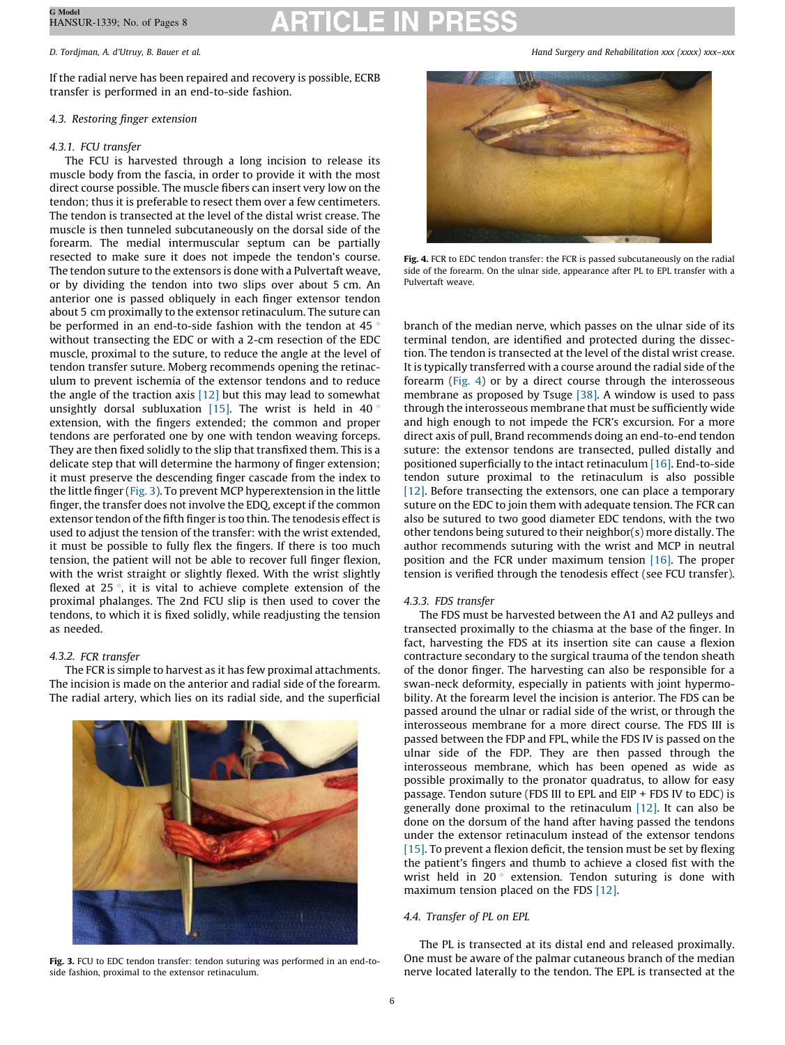If the radial nerve has been repaired and recovery is possible, ECRB transfer is performed in an end-to-side fashion.

# 4.3. Restoring finger extension

# 4.3.1. FCU transfer

The FCU is harvested through a long incision to release its muscle body from the fascia, in order to provide it with the most direct course possible. The muscle fibers can insert very low on the tendon; thus it is preferable to resect them over a few centimeters. The tendon is transected at the level of the distal wrist crease. The muscle is then tunneled subcutaneously on the dorsal side of the forearm. The medial intermuscular septum can be partially resected to make sure it does not impede the tendon's course. The tendon suture to the extensors is done with a Pulvertaft weave, or by dividing the tendon into two slips over about 5 cm. An anterior one is passed obliquely in each finger extensor tendon about 5 cm proximally to the extensor retinaculum. The suture can be performed in an end-to-side fashion with the tendon at 45 $\degree$ without transecting the EDC or with a 2-cm resection of the EDC muscle, proximal to the suture, to reduce the angle at the level of tendon transfer suture. Moberg recommends opening the retinaculum to prevent ischemia of the extensor tendons and to reduce the angle of the traction axis  $[12]$  but this may lead to somewhat unsightly dorsal subluxation  $[15]$ . The wrist is held in 40 $\degree$ extension, with the fingers extended; the common and proper tendons are perforated one by one with tendon weaving forceps. They are then fixed solidly to the slip that transfixed them. This is a delicate step that will determine the harmony of finger extension; it must preserve the descending finger cascade from the index to the little finger (Fig. 3). To prevent MCP hyperextension in the little finger, the transfer does not involve the EDQ, except if the common extensor tendon of the fifth finger is too thin. The tenodesis effect is used to adjust the tension of the transfer: with the wrist extended, it must be possible to fully flex the fingers. If there is too much tension, the patient will not be able to recover full finger flexion, with the wrist straight or slightly flexed. With the wrist slightly flexed at 25 $\degree$ , it is vital to achieve complete extension of the proximal phalanges. The 2nd FCU slip is then used to cover the tendons, to which it is fixed solidly, while readjusting the tension as needed.

# 4.3.2. FCR transfer

The FCR is simple to harvest as it has few proximal attachments. The incision is made on the anterior and radial side of the forearm. The radial artery, which lies on its radial side, and the superficial



Fig. 3. FCU to EDC tendon transfer: tendon suturing was performed in an end-toside fashion, proximal to the extensor retinaculum.

D. Tordjman, A. d'Utruy, B. Bauer et al. Hand Surgery and Rehabilitation xxx (xxxx) xxx–xxx



Fig. 4. FCR to EDC tendon transfer: the FCR is passed subcutaneously on the radial side of the forearm. On the ulnar side, appearance after PL to EPL transfer with a Pulvertaft weave.

branch of the median nerve, which passes on the ulnar side of its terminal tendon, are identified and protected during the dissection. The tendon is transected at the level of the distal wrist crease. It is typically transferred with a course around the radial side of the forearm (Fig. 4) or by a direct course through the interosseous membrane as proposed by Tsuge [\[38\]](#page-7-0). A window is used to pass through the interosseous membrane that must be sufficiently wide and high enough to not impede the FCR's excursion. For a more direct axis of pull, Brand recommends doing an end-to-end tendon suture: the extensor tendons are transected, pulled distally and positioned superficially to the intact retinaculum [\[16\]](#page-6-0). End-to-side tendon suture proximal to the retinaculum is also possible [\[12\]](#page-6-0). Before transecting the extensors, one can place a temporary suture on the EDC to join them with adequate tension. The FCR can also be sutured to two good diameter EDC tendons, with the two other tendons being sutured to their neighbor(s) more distally. The author recommends suturing with the wrist and MCP in neutral position and the FCR under maximum tension [\[16\]](#page-6-0). The proper tension is verified through the tenodesis effect (see FCU transfer).

# 4.3.3. FDS transfer

The FDS must be harvested between the A1 and A2 pulleys and transected proximally to the chiasma at the base of the finger. In fact, harvesting the FDS at its insertion site can cause a flexion contracture secondary to the surgical trauma of the tendon sheath of the donor finger. The harvesting can also be responsible for a swan-neck deformity, especially in patients with joint hypermobility. At the forearm level the incision is anterior. The FDS can be passed around the ulnar or radial side of the wrist, or through the interosseous membrane for a more direct course. The FDS III is passed between the FDP and FPL, while the FDS IV is passed on the ulnar side of the FDP. They are then passed through the interosseous membrane, which has been opened as wide as possible proximally to the pronator quadratus, to allow for easy passage. Tendon suture (FDS III to EPL and EIP + FDS IV to EDC) is generally done proximal to the retinaculum [\[12\].](#page-6-0) It can also be done on the dorsum of the hand after having passed the tendons under the extensor retinaculum instead of the extensor tendons [\[15\]](#page-6-0). To prevent a flexion deficit, the tension must be set by flexing the patient's fingers and thumb to achieve a closed fist with the wrist held in 20 $\degree$  extension. Tendon suturing is done with maximum tension placed on the FDS [\[12\]](#page-6-0).

# 4.4. Transfer of PL on EPL

The PL is transected at its distal end and released proximally. One must be aware of the palmar cutaneous branch of the median nerve located laterally to the tendon. The EPL is transected at the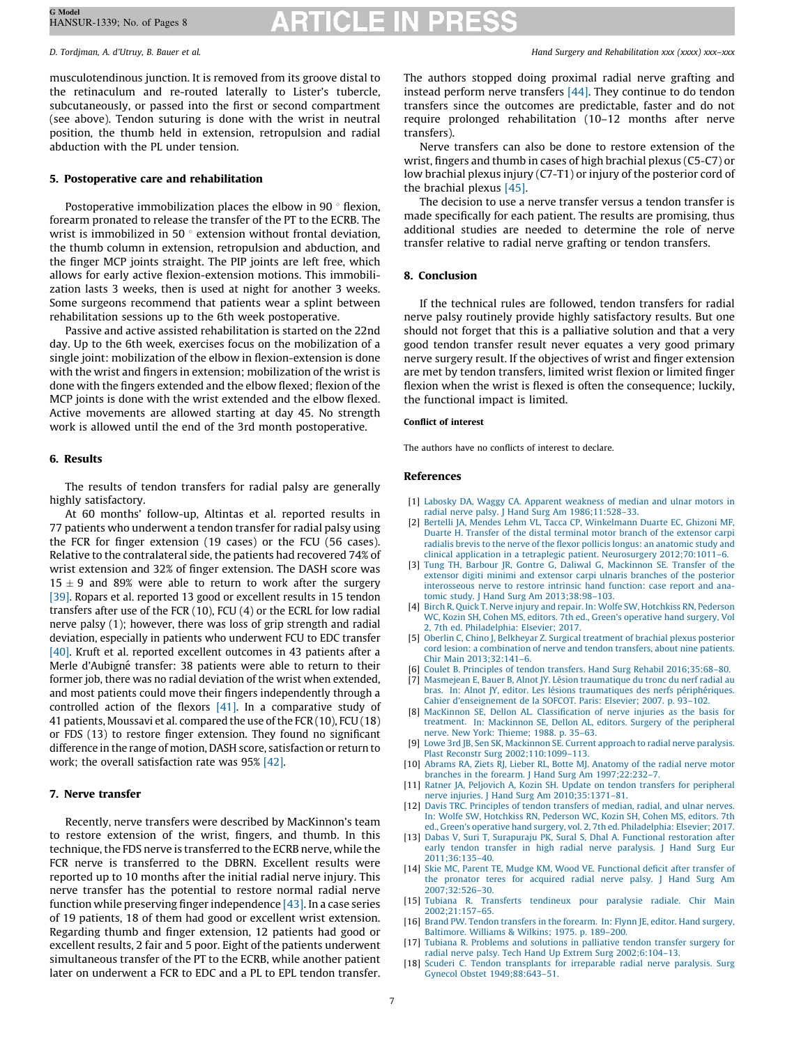<span id="page-6-0"></span>G Model HANSUR-1339; No. of Pages 8

musculotendinous junction. It is removed from its groove distal to the retinaculum and re-routed laterally to Lister's tubercle, subcutaneously, or passed into the first or second compartment (see above). Tendon suturing is done with the wrist in neutral position, the thumb held in extension, retropulsion and radial abduction with the PL under tension.

## 5. Postoperative care and rehabilitation

Postoperative immobilization places the elbow in 90 $\degree$  flexion, forearm pronated to release the transfer of the PT to the ECRB. The wrist is immobilized in 50 $\degree$  extension without frontal deviation, the thumb column in extension, retropulsion and abduction, and the finger MCP joints straight. The PIP joints are left free, which allows for early active flexion-extension motions. This immobilization lasts 3 weeks, then is used at night for another 3 weeks. Some surgeons recommend that patients wear a splint between rehabilitation sessions up to the 6th week postoperative.

Passive and active assisted rehabilitation is started on the 22nd day. Up to the 6th week, exercises focus on the mobilization of a single joint: mobilization of the elbow in flexion-extension is done with the wrist and fingers in extension; mobilization of the wrist is done with the fingers extended and the elbow flexed; flexion of the MCP joints is done with the wrist extended and the elbow flexed. Active movements are allowed starting at day 45. No strength work is allowed until the end of the 3rd month postoperative.

### 6. Results

The results of tendon transfers for radial palsy are generally highly satisfactory.

At 60 months' follow-up, Altintas et al. reported results in 77 patients who underwent a tendon transfer for radial palsy using the FCR for finger extension (19 cases) or the FCU (56 cases). Relative to the contralateral side, the patients had recovered 74% of wrist extension and 32% of finger extension. The DASH score was  $15 \pm 9$  and 89% were able to return to work after the surgery [\[39\].](#page-7-0) Ropars et al. reported 13 good or excellent results in 15 tendon transfers after use of the FCR (10), FCU (4) or the ECRL for low radial nerve palsy (1); however, there was loss of grip strength and radial deviation, especially in patients who underwent FCU to EDC transfer [\[40\].](#page-7-0) Kruft et al. reported excellent outcomes in 43 patients after a Merle d'Aubigné transfer: 38 patients were able to return to their former job, there was no radial deviation of the wrist when extended, and most patients could move their fingers independently through a controlled action of the flexors [\[41\]](#page-7-0). In a comparative study of 41 patients, Moussavi et al. compared the use of the FCR (10), FCU (18) or FDS (13) to restore finger extension. They found no significant difference in the range of motion, DASH score, satisfaction or return to work; the overall satisfaction rate was 95% [\[42\]](#page-7-0).

### 7. Nerve transfer

Recently, nerve transfers were described by MacKinnon's team to restore extension of the wrist, fingers, and thumb. In this technique, the FDS nerve is transferred to the ECRB nerve, while the FCR nerve is transferred to the DBRN. Excellent results were reported up to 10 months after the initial radial nerve injury. This nerve transfer has the potential to restore normal radial nerve function while preserving finger independence  $[43]$ . In a case series of 19 patients, 18 of them had good or excellent wrist extension. Regarding thumb and finger extension, 12 patients had good or excellent results, 2 fair and 5 poor. Eight of the patients underwent simultaneous transfer of the PT to the ECRB, while another patient later on underwent a FCR to EDC and a PL to EPL tendon transfer.

D. Tordjman, A. d'Utruy, B. Bauer et al. Hand Surgery and Rehabilitation xxx (xxxx) xxx–xxx

The authors stopped doing proximal radial nerve grafting and instead perform nerve transfers  $[44]$ . They continue to do tendon transfers since the outcomes are predictable, faster and do not require prolonged rehabilitation (10–12 months after nerve transfers).

Nerve transfers can also be done to restore extension of the wrist, fingers and thumb in cases of high brachial plexus (C5-C7) or low brachial plexus injury (C7-T1) or injury of the posterior cord of the brachial plexus [\[45\].](#page-7-0)

The decision to use a nerve transfer versus a tendon transfer is made specifically for each patient. The results are promising, thus additional studies are needed to determine the role of nerve transfer relative to radial nerve grafting or tendon transfers.

#### 8. Conclusion

If the technical rules are followed, tendon transfers for radial nerve palsy routinely provide highly satisfactory results. But one should not forget that this is a palliative solution and that a very good tendon transfer result never equates a very good primary nerve surgery result. If the objectives of wrist and finger extension are met by tendon transfers, limited wrist flexion or limited finger flexion when the wrist is flexed is often the consequence; luckily, the functional impact is limited.

#### Conflict of interest

The authors have no conflicts of interest to declare.

#### References

- [1] Labosky DA, Waggy CA. Apparent [weakness](http://refhub.elsevier.com/S2468-1229(21)00189-4/sbref0005) of median and ulnar motors in radial nerve palsy. J Hand Surg Am [1986;11:528–33](http://refhub.elsevier.com/S2468-1229(21)00189-4/sbref0005).
- [2] Bertelli JA, Mendes Lehm VL, Tacca CP, [Winkelmann](http://refhub.elsevier.com/S2468-1229(21)00189-4/sbref0010) Duarte EC, Ghizoni MF, Duarte H. Transfer of the distal terminal motor branch of the [extensor](http://refhub.elsevier.com/S2468-1229(21)00189-4/sbref0010) carpi radialis brevis to the nerve of the flexor pollicis longus: an [anatomic](http://refhub.elsevier.com/S2468-1229(21)00189-4/sbref0010) study and clinical application in a tetraplegic patient. Neurosurgery [2012;70:1011–6.](http://refhub.elsevier.com/S2468-1229(21)00189-4/sbref0010)
- [3] Tung TH, Barbour JR, Gontre G, Daliwal G, [Mackinnon](http://refhub.elsevier.com/S2468-1229(21)00189-4/sbref0015) SE. Transfer of the extensor digiti minimi and extensor carpi ulnaris branches of the [posterior](http://refhub.elsevier.com/S2468-1229(21)00189-4/sbref0015) [interosseous](http://refhub.elsevier.com/S2468-1229(21)00189-4/sbref0015) nerve to restore intrinsic hand function: case report and anatomic study. J Hand Surg Am [2013;38:98–103.](http://refhub.elsevier.com/S2468-1229(21)00189-4/sbref0015)
- [4] Birch R, Quick T. Nerve injury and repair. In: Wolfe SW, [Hotchkiss](http://refhub.elsevier.com/S2468-1229(21)00189-4/sbref0020) RN, Pederson WC, Kozin SH, Cohen MS, editors. 7th ed., Green's [operative](http://refhub.elsevier.com/S2468-1229(21)00189-4/sbref0020) hand surgery, Vol 2, 7th ed. [Philadelphia:](http://refhub.elsevier.com/S2468-1229(21)00189-4/sbref0020) Elsevier; 2017.
- [5] Oberlin C, Chino J, Belkheyar Z. Surgical [treatment](http://refhub.elsevier.com/S2468-1229(21)00189-4/sbref0025) of brachial plexus posterior cord lesion: a [combination](http://refhub.elsevier.com/S2468-1229(21)00189-4/sbref0025) of nerve and tendon transfers, about nine patients. Chir Main [2013;32:141–6.](http://refhub.elsevier.com/S2468-1229(21)00189-4/sbref0025)
- [6] Coulet B. Principles of tendon transfers. Hand Surg Rehabil [2016;35:68–80](http://refhub.elsevier.com/S2468-1229(21)00189-4/sbref0030).
- Masmejean E, Bauer B, Alnot JY. Lésion [traumatique](http://refhub.elsevier.com/S2468-1229(21)00189-4/sbref0035) du tronc du nerf radial au bras. In: Alnot JY, editor. Les lésions [traumatiques](http://refhub.elsevier.com/S2468-1229(21)00189-4/sbref0035) des nerfs périphériques. Cahier [d'enseignement](http://refhub.elsevier.com/S2468-1229(21)00189-4/sbref0035) de la SOFCOT. Paris: Elsevier; 2007. p. 93–102.
- [8] MacKinnon SE, Dellon AL. [Classification](http://refhub.elsevier.com/S2468-1229(21)00189-4/sbref0040) of nerve injuries as the basis for treatment. In: [Mackinnon](http://refhub.elsevier.com/S2468-1229(21)00189-4/sbref0040) SE, Dellon AL, editors. Surgery of the peripheral
- nerve. New York: [Thieme;](http://refhub.elsevier.com/S2468-1229(21)00189-4/sbref0040) 1988. p. 35–63. [9] Lowe 3rd JB, Sen SK, [Mackinnon](http://refhub.elsevier.com/S2468-1229(21)00189-4/sbref0045) SE. Current approach to radial nerve paralysis. Plast Reconstr Surg [2002;110:1099–113.](http://refhub.elsevier.com/S2468-1229(21)00189-4/sbref0045)
- [10] Abrams RA, Ziets RJ, Lieber RL, Botte MJ. [Anatomy](http://refhub.elsevier.com/S2468-1229(21)00189-4/sbref0050) of the radial nerve motor branches in the forearm. J Hand Surg Am [1997;22:232–7](http://refhub.elsevier.com/S2468-1229(21)00189-4/sbref0050).
- [11] Ratner JA, Peljovich A, Kozin SH. Update on tendon transfers for [peripheral](http://refhub.elsevier.com/S2468-1229(21)00189-4/sbref0055) nerve injuries. J Hand Surg Am [2010;35:1371–81](http://refhub.elsevier.com/S2468-1229(21)00189-4/sbref0055).
- [12] Davis TRC. [Principles](http://refhub.elsevier.com/S2468-1229(21)00189-4/sbref0060) of tendon transfers of median, radial, and ulnar nerves. In: Wolfe SW, [Hotchkiss](http://refhub.elsevier.com/S2468-1229(21)00189-4/sbref0060) RN, Pederson WC, Kozin SH, Cohen MS, editors. 7th ed., Green's operative hand surgery, vol. 2, 7th ed. [Philadelphia:](http://refhub.elsevier.com/S2468-1229(21)00189-4/sbref0060) Elsevier; 2017.
- [13] Dabas V, Suri T, Surapuraju PK, Sural S, Dhal A. Functional [restoration](http://refhub.elsevier.com/S2468-1229(21)00189-4/sbref0065) after early tendon transfer in high radial nerve [paralysis.](http://refhub.elsevier.com/S2468-1229(21)00189-4/sbref0065) J Hand Surg Eur [2011;36:135–40](http://refhub.elsevier.com/S2468-1229(21)00189-4/sbref0065).
- [14] Skie MC, Parent TE, Mudge KM, Wood VE. [Functional](http://refhub.elsevier.com/S2468-1229(21)00189-4/sbref0070) deficit after transfer of the [pronator](http://refhub.elsevier.com/S2468-1229(21)00189-4/sbref0070) teres for acquired radial nerve palsy. J Hand Surg Am [2007;32:526–30](http://refhub.elsevier.com/S2468-1229(21)00189-4/sbref0070).
- [15] Tubiana R. Transferts [tendineux](http://refhub.elsevier.com/S2468-1229(21)00189-4/sbref0075) pour paralysie radiale. Chir Main [2002;21:157–65](http://refhub.elsevier.com/S2468-1229(21)00189-4/sbref0075).
- [16] Brand PW. Tendon [transfers](http://refhub.elsevier.com/S2468-1229(21)00189-4/sbref0080) in the forearm. In: Flynn JE, editor. Hand surgery, [Baltimore.](http://refhub.elsevier.com/S2468-1229(21)00189-4/sbref0080) Williams & Wilkins; 1975. p. 189–200.
- [17] Tubiana R. [Problems](http://refhub.elsevier.com/S2468-1229(21)00189-4/sbref0085) and solutions in palliative tendon transfer surgery for radial nerve palsy. Tech Hand Up Extrem Surg [2002;6:104–13.](http://refhub.elsevier.com/S2468-1229(21)00189-4/sbref0085)
- [18] Scuderi C. Tendon [transplants](http://refhub.elsevier.com/S2468-1229(21)00189-4/sbref0090) for irreparable radial nerve paralysis. Surg Gynecol Obstet [1949;88:643–51.](http://refhub.elsevier.com/S2468-1229(21)00189-4/sbref0090)